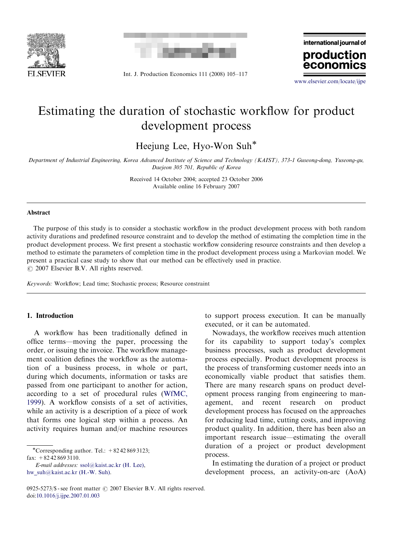



Int. J. Production Economics 111 (2008) 105–117

international journal of production econor

<www.elsevier.com/locate/ijpe>

## Estimating the duration of stochastic workflow for product development process

Heejung Lee, Hyo-Won Suh\*

Department of Industrial Engineering, Korea Advanced Institute of Science and Technology (KAIST), 373-1 Guseong-dong, Yuseong-gu, Daejeon 305 701, Republic of Korea

> Received 14 October 2004; accepted 23 October 2006 Available online 16 February 2007

#### Abstract

The purpose of this study is to consider a stochastic workflow in the product development process with both random activity durations and predefined resource constraint and to develop the method of estimating the completion time in the product development process. We first present a stochastic workflow considering resource constraints and then develop a method to estimate the parameters of completion time in the product development process using a Markovian model. We present a practical case study to show that our method can be effectively used in practice.  $O$  2007 Elsevier B.V. All rights reserved.

Keywords: Workflow; Lead time; Stochastic process; Resource constraint

### 1. Introduction

A workflow has been traditionally defined in office terms—moving the paper, processing the order, or issuing the invoice. The workflow management coalition defines the workflow as the automation of a business process, in whole or part, during which documents, information or tasks are passed from one participant to another for action, according to a set of procedural rules [\(WfMC,](#page--1-0) [1999\)](#page--1-0). A workflow consists of a set of activities, while an activity is a description of a piece of work that forms one logical step within a process. An activity requires human and/or machine resources

 $\overline{\text{``Corresponding author. Tel.:}}$  + 82 42 869 3123; fax:  $+82428693110$ .

E-mail addresses: [ssol@kaist.ac.kr \(H. Lee\),](mailto:ssol@kaist.ac.kr) [hw\\_suh@kaist.ac.kr \(H.-W. Suh\)](mailto:hw_suh@kaist.ac.kr).

to support process execution. It can be manually executed, or it can be automated.

Nowadays, the workflow receives much attention for its capability to support today's complex business processes, such as product development process especially. Product development process is the process of transforming customer needs into an economically viable product that satisfies them. There are many research spans on product development process ranging from engineering to management, and recent research on product development process has focused on the approaches for reducing lead time, cutting costs, and improving product quality. In addition, there has been also an important research issue—estimating the overall duration of a project or product development process.

In estimating the duration of a project or product development process, an activity-on-arc (AoA)

<sup>0925-5273/\$ -</sup> see front matter  $\odot$  2007 Elsevier B.V. All rights reserved. doi:[10.1016/j.ijpe.2007.01.003](dx.doi.org/10.1016/j.ijpe.2007.01.003)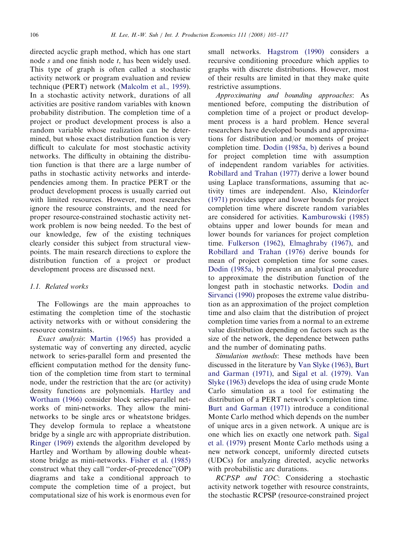directed acyclic graph method, which has one start node s and one finish node t, has been widely used. This type of graph is often called a stochastic activity network or program evaluation and review technique (PERT) network ([Malcolm et al., 1959](#page--1-0)). In a stochastic activity network, durations of all activities are positive random variables with known probability distribution. The completion time of a project or product development process is also a random variable whose realization can be determined, but whose exact distribution function is very difficult to calculate for most stochastic activity networks. The difficulty in obtaining the distribution function is that there are a large number of paths in stochastic activity networks and interdependencies among them. In practice PERT or the product development process is usually carried out with limited resources. However, most researches ignore the resource constraints, and the need for proper resource-constrained stochastic activity network problem is now being needed. To the best of our knowledge, few of the existing techniques clearly consider this subject from structural viewpoints. The main research directions to explore the distribution function of a project or product development process are discussed next.

#### 1.1. Related works

The Followings are the main approaches to estimating the completion time of the stochastic activity networks with or without considering the resource constraints.

Exact analysis: [Martin \(1965\)](#page--1-0) has provided a systematic way of converting any directed, acyclic network to series-parallel form and presented the efficient computation method for the density function of the completion time from start to terminal node, under the restriction that the arc (or activity) density functions are polynomials. [Hartley and](#page--1-0) [Wortham \(1966\)](#page--1-0) consider block series-parallel networks of mini-networks. They allow the mininetworks to be single arcs or wheatstone bridges. They develop formula to replace a wheatstone bridge by a single arc with appropriate distribution. [Ringer \(1969\)](#page--1-0) extends the algorithm developed by Hartley and Wortham by allowing double wheatstone bridge as mini-networks. [Fisher et al. \(1985\)](#page--1-0) construct what they call ''order-of-precedence''(OP) diagrams and take a conditional approach to compute the completion time of a project, but computational size of his work is enormous even for

small networks. [Hagstrom \(1990\)](#page--1-0) considers a recursive conditioning procedure which applies to graphs with discrete distributions. However, most of their results are limited in that they make quite restrictive assumptions.

Approximating and bounding approaches: As mentioned before, computing the distribution of completion time of a project or product development process is a hard problem. Hence several researchers have developed bounds and approximations for distribution and/or moments of project completion time. [Dodin \(1985a, b\)](#page--1-0) derives a bound for project completion time with assumption of independent random variables for activities. [Robillard and Trahan \(1977\)](#page--1-0) derive a lower bound using Laplace transformations, assuming that activity times are independent. Also, [Kleindorfer](#page--1-0) [\(1971\)](#page--1-0) provides upper and lower bounds for project completion time where discrete random variables are considered for activities. [Kamburowski \(1985\)](#page--1-0) obtains upper and lower bounds for mean and lower bounds for variances for project completion time. [Fulkerson \(1962\)](#page--1-0), [Elmaghraby \(1967\),](#page--1-0) and [Robillard and Trahan \(1976\)](#page--1-0) derive bounds for mean of project completion time for some cases. [Dodin \(1985a, b\)](#page--1-0) presents an analytical procedure to approximate the distribution function of the longest path in stochastic networks. [Dodin and](#page--1-0) [Sirvanci \(1990\)](#page--1-0) proposes the extreme value distribution as an approximation of the project completion time and also claim that the distribution of project completion time varies from a normal to an extreme value distribution depending on factors such as the size of the network, the dependence between paths and the number of dominating paths.

Simulation methods: These methods have been discussed in the literature by [Van Slyke \(1963\),](#page--1-0) [Burt](#page--1-0) [and Garman \(1971\)](#page--1-0), and [Sigal et al. \(1979\)](#page--1-0). [Van](#page--1-0) [Slyke \(1963\)](#page--1-0) develops the idea of using crude Monte Carlo simulation as a tool for estimating the distribution of a PERT network's completion time. [Burt and Garman \(1971\)](#page--1-0) introduce a conditional Monte Carlo method which depends on the number of unique arcs in a given network. A unique arc is one which lies on exactly one network path. [Sigal](#page--1-0) [et al. \(1979\)](#page--1-0) present Monte Carlo methods using a new network concept, uniformly directed cutsets (UDCs) for analyzing directed, acyclic networks with probabilistic arc durations.

RCPSP and TOC: Considering a stochastic activity network together with resource constraints, the stochastic RCPSP (resource-constrained project